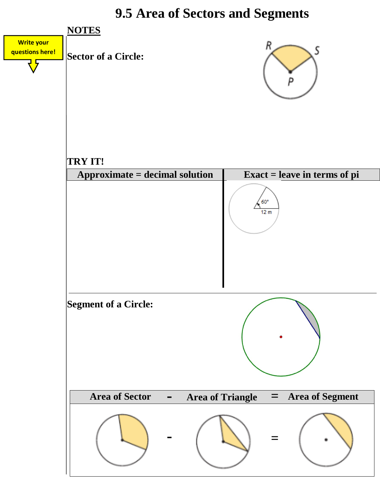### **9.5 Area of Sectors and Segments**

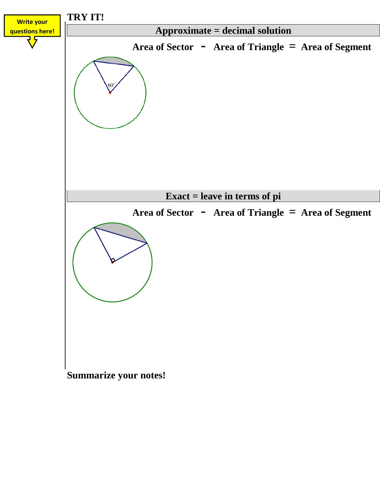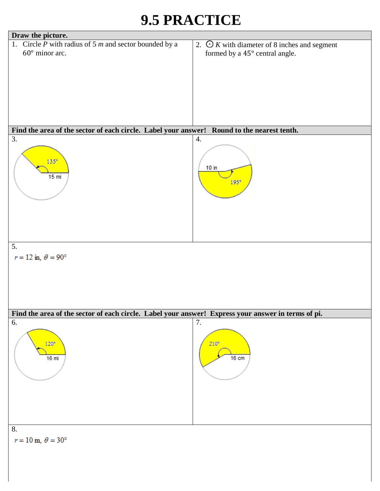# **9.5 PRACTICE**

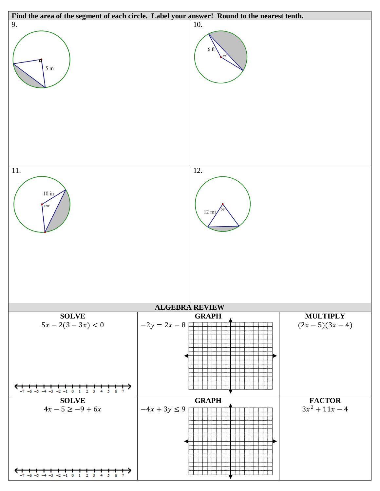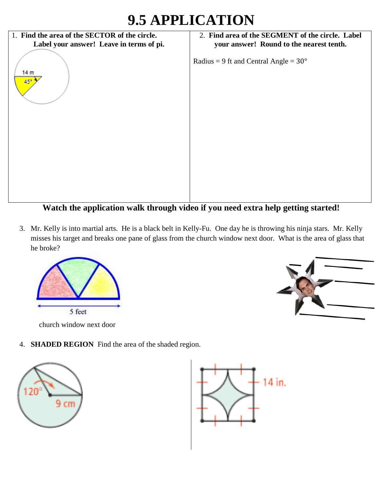## **9.5 APPLICATION**



**Watch the application walk through video if you need extra help getting started!**

3. Mr. Kelly is into martial arts. He is a black belt in Kelly-Fu. One day he is throwing his ninja stars. Mr. Kelly misses his target and breaks one pane of glass from the church window next door. What is the area of glass that he broke?



church window next door



4. **SHADED REGION** Find the area of the shaded region.